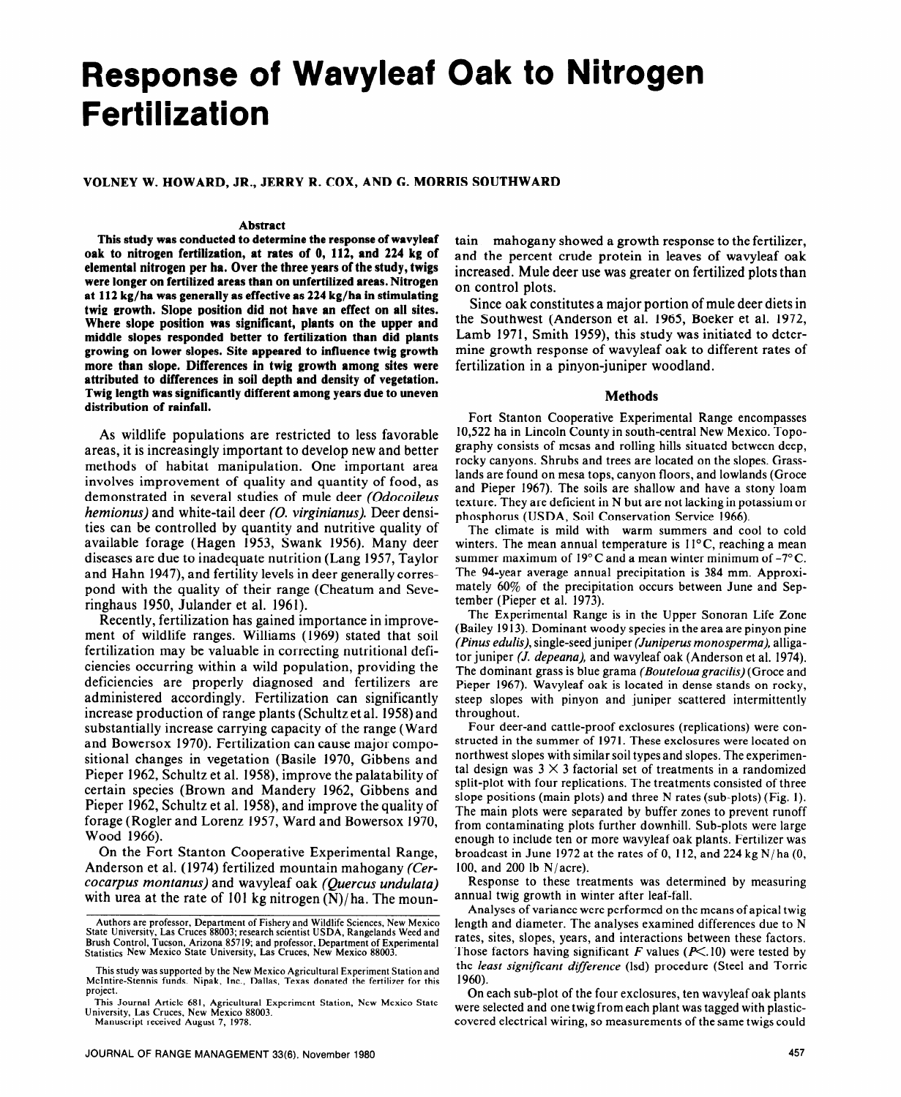# **Response of Wavyleaf Oak to Nitrogen Fertilization**

**VOLNEY W. HOWARD, JR., JERRY R. COX, AND G. MORRIS SOUTHWARD** 

#### **Abstract**

**This study was conducted to determine the response of wavyleaf oak to nitrogen fertilization, at rates of 0, 112, and 224 kg of elemental nitrogen per ha. Over the three years of the study, twigs were longer on fertilized areas than on unfertilized areas. Nitrogen at 112 kg/ha was generally as effective as 224 kg/ha in stimulating twig growth. Slope position did not have an effect on all sites. Where slope position was significant, plants on the upper and middle slopes responded better to fertilization than did plants growing on lower slopes. Site appeared to influence twig growth more than slope. Differences in twig growth among sites were attributed to differences in soil depth and density of vegetation. Twig length was significantly different among years due to uneven distribution of rainfall.** 

As wildlife populations are restricted to less favorable areas, it is increasingly important to develop new and better methods of habitat manipulation. One important area involves improvement of quality and quantity of food, as demonstrated in several studies of mule deer *(Odocoileus hemionus)* and white-tail deer (0. *virginianus).* Deer densities can be controlled by quantity and nutritive quality of available forage (Hagen 1953, Swank 1956). Many deer diseases are due to inadequate nutrition (Lang 1957, Taylor and Hahn 1947), and fertility levels in deer generally correspond with the quality of their range (Cheatum and Severinghaus 1950, Julander et al. 1961).

Recently, fertilization has gained importance in improvement of wildlife ranges. Williams (1969) stated that soil fertilization may be valuable in correcting nutritional deficiencies occurring within a wild population, providing the deficiencies are properly diagnosed and fertilizers are administered accordingly. Fertilization can significantly increase production of range plants (Schultz et al. 1958) and substantially increase carrying capacity of the range (Ward and Bowersox 1970). Fertilization can cause major compositional changes in vegetation (Basile 1970, Gibbens and Pieper 1962, Schultz et al. 1958), improve the palatability of certain species (Brown and Mandery 1962, Gibbens and Pieper 1962, Schultz et al. 1958), and improve the quality of forage (Rogler and Lorenz 1957, Ward and Bowersox 1970, Wood 1966).

On the Fort Stanton Cooperative Experimental Range, Anderson et al. (1974) fertilized mountain mahogany (Cercowpus *montanus)* and wavyleaf oak *(Quercus undulata)*  with urea at the rate of 101 kg nitrogen (N)/ ha. The moun-

Manuscript received August 7, 1978.

tain mahogany showed a growth response to the fertilizer, and the percent crude protein in leaves of wavyleaf oak increased. Mule deer use was greater on fertilized plots than on control plots.

Since oak constitutes a major portion of mule deer diets in the Southwest (Anderson et al. 1965, Boeker et al. 1972, Lamb 1971, Smith 1959), this study was initiated to determine growth response of wavyleaf oak to different rates of fertilization in a pinyon-juniper woodland.

## **Methods**

**Fort** Stanton Cooperative Experimental Range encompasses 10,522 ha in Lincoln County in south-central New Mexico. Topography consists of mesas and rolling hills situated between deep, rocky canyons. Shrubs and trees are located on the slopes. Grasslands are found on mesa tops, canyon floors, and lowlands (Groce and Pieper 1967). The soils are shallow and have a stony loam texture. They are deficient in N but are not lacking in potassium or phosphorus **(USDA,** Soil Conservation Service 1966).

The climate is mild with warm summers and cool to cold winters. The mean annual temperature is  $11^{\circ}$ C, reaching a mean summer maximum of  $19^{\circ}$ C and a mean winter minimum of  $-7^{\circ}$ C. The 94-year average annual precipitation is 384 mm. Approximately 60% of the precipitation occurs between June and September (Pieper et al. 1973).

The Experimental Range is in the Upper Sonoran Life Zone (Bailey 1913). Dominant woody species in the area are pinyon pine *(Pinus edulis),* single-seed juniper *(Juniperus monosperma),* alligator juniper (J. *depeana),* and wavyleaf oak (Anderson et al. 1974). The dominant grass is blue grama *(Bouteloua gracilis)* (Grace and Pieper 1967). Wavyleaf oak is located in dense stands on rocky, steep slopes with pinyon and juniper scattered intermittently throughout.

Four deer-and cattle-proof exclosures (replications) were constructed in the summer of 1971. These exclosures were located on northwest slopes with similar soil types and slopes. The experimental design was  $3 \times 3$  factorial set of treatments in a randomized split-plot with four replications. The treatments consisted of three slope positions (main plots) and three N rates (sub-plots) (Fig. 1). The main plots were separated by buffer zones to prevent runoff from contaminating plots further downhill. Sub-plots were large enough to include ten or more wavyleaf oak plants. Fertilizer was broadcast in June 1972 at the rates of 0, 112, and 224 kg N/ha (0, 100, and 200 lb N/acre).

Response to these treatments was determined by measuring annual twig growth in winter after leaf-fall.

Analyses of variance were performed on the means of apical twig length and diameter. The analyses examined differences due to N rates, sites, slopes, years, and interactions between these factors. Those factors having significant F values ( $P\leq$ .10) were tested by the *least significant difference* (lsd) procedure (Steel and Torrie 1960).

On each sub-plot of the four exclosures, ten wavyleaf oak plants were selected and one twig from each plant was tagged with plasticcovered electrical wiring, so measurements of the same twigs could

Authors are professor, Department of Fishery and Wildlife Sciences, New Mexico<br>State University, Las Cruces 88003; research scientist USDA, Rangelands Weed and<br>Brush Control, Tucson, Arizona 85719; and professor, Departmen

This study was supported by the New Mexico Agricultural Experiment Station and McIntire-Stennis funds. Nipak, Inc., Dallas, Texas donated the fertilizer for this project.

This Journal Article 681, Agricultural Experiment Station, New Mexico State University, Las Cruces, New Mexico 88003.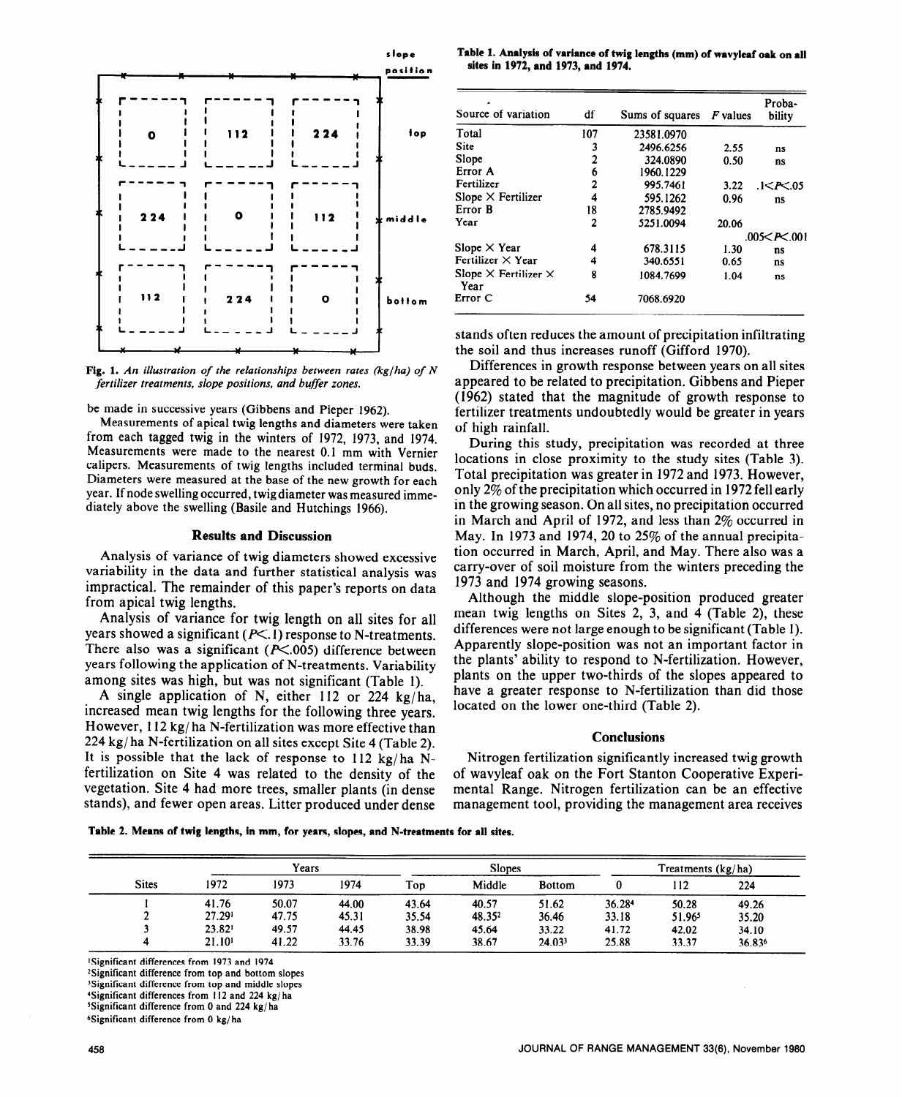

**Fig. 1.** *An illustration of the relationships between rates (kg/ha) of N fertilizer treatments, slope positions, and buffer zones.* 

## be made in successive years (Gibbens and Pieper 1962).

Measurements of apical twig lengths and diameters were taken from each tagged twig in the winters of 1972, 1973, and 1974. Measurements were made to the nearest 0.1 mm with Vernier calipers. Measurements of twig lengths included terminal buds. Diameters were measured at the base of the new growth for each year. If node swelling occurred, twig diameter was measured immediately above the swelling (Basile and Hutchings 1966).

## **Results and Discussion**

Analysis of variance of twig diameters showed excessive variability in the data and further statistical analysis was impractical. The remainder of this paper's reports on data from apical twig lengths.

Analysis of variance for twig length on all sites for all years showed a significant ( $P \le 1$ ) response to N-treatments. There also was a significant ( $P \le 0.005$ ) difference between years following the application of N-treatments. Variability among sites was high, but was not significant (Table 1).

A single application of N, either 112 or 224 kg/ha, increased mean twig lengths for the following three years. However, 112 kg/ ha N-fertilization was more effective than 224 kg/ ha N-fertilization on all sites except Site 4 (Table 2). It is possible that the lack of response to  $112 \text{ kg/ha}$  Nfertilization on Site 4 was related to the density of the vegetation. Site 4 had more trees, smaller plants (in dense stands), and fewer open areas. Litter produced under dense

Table 1. Analysis of variance of twig lengths (mm) of wavyleaf oak on all **sites in 1972, and 1973, and 1974.** 

| Source of variation                        | df  | Sums of squares $F$ values |       | Proba-<br>bility    |  |
|--------------------------------------------|-----|----------------------------|-------|---------------------|--|
| Total                                      | 107 | 23581.0970                 |       |                     |  |
| Site                                       | 3   | 2496.6256                  | 2.55  | ns                  |  |
| Slope                                      | 2   | 324.0890                   | 0.50  | ns                  |  |
| Error A                                    | 6   | 1960.1229                  |       |                     |  |
| Fertilizer                                 | 2   | 995.7461                   | 3.22  | 1 < P < 05          |  |
| Slope $\times$ Fertilizer                  | 4   | 595.1262                   | 0.96  | ns                  |  |
| Error <b>B</b>                             | 18  | 2785.9492                  |       |                     |  |
| Year                                       | 2   | 5251.0094                  | 20.06 |                     |  |
|                                            |     |                            |       | .005 $<$ P $<$ .001 |  |
| Slope $\times$ Year                        | 4   | 678.3115                   | 1.30  | ns                  |  |
| Fertilizer $\times$ Year                   | 4   | 340.6551                   | 0.65  | ns                  |  |
| Slope $\times$ Fertilizer $\times$<br>Year | 8   | 1084.7699                  | 1.04  | ns                  |  |
| Error C                                    | 54  | 7068.6920                  |       |                     |  |

stands often reduces the amount of precipitation infiltrating the soil and thus increases runoff (Gifford 1970).

Differences in growth response between years on all sites appeared to be related to precipitation. Gibbens and Pieper (1962) stated that the magnitude of growth response to fertilizer treatments undoubtedly would be greater in years of high rainfall.

During this study, precipitation was recorded at three locations in close proximity to the study sites (Table 3). Total precipitation was greater in 1972 and 1973. However, only 2% of the precipitation which occurred in 1972 fell early in the growing season. On all sites, no precipitation occurred in March and April of 1972, and less than  $2\%$  occurred in May. In 1973 and 1974, 20 to  $25\%$  of the annual precipitation occurred in March, April, and May. There also was a carry-over of soil moisture from the winters preceding the 1973 and 1974 growing seasons.

Although the middle slope-position produced greater mean twig lengths on Sites **2, 3,** and 4 (Table 2), these differences were not large enough to be significant (Table 1). Apparently slope-position was not an important factor in the plants' ability to respond to N-fertilization. However, plants on the upper two-thirds of the slopes appeared to have a greater response to N-fertilization than did those located on the lower one-third (Table 2).

### **Conclusions**

Nitrogen fertilization significantly increased twig growth of wavyleaf oak on the Fort Stanton Cooperative Experimental Range. Nitrogen fertilization can be an effective management tool, providing the management area receives

**Table 2. Means of twig lengths, in mm, for years, slopes, and N-treatments for all sites.** 

| <b>Sites</b> | Years              |       |       | <b>Slopes</b> |        |               | Treatments (kg/ha) |        |        |
|--------------|--------------------|-------|-------|---------------|--------|---------------|--------------------|--------|--------|
|              | 1972               | 1973  | 1974  | Top           | Middle | <b>Bottom</b> |                    | 112    | 224    |
|              | 41.76              | 50.07 | 44.00 | 43.64         | 40.57  | 51.62         | 36.284             | 50.28  | 49.26  |
|              | 27.291             | 47.75 | 45.31 | 35.54         | 48.352 | 36.46         | 33.18              | 51.965 | 35.20  |
|              | 23.82 <sup>1</sup> | 49.57 | 44.45 | 38.98         | 45.64  | 33.22         | 41.72              | 42.02  | 34.10  |
|              | 21.10 <sup>1</sup> | 41.22 | 33.76 | 33.39         | 38.67  | 24.033        | 25.88              | 33.37  | 36.836 |

'Significant differences from 1973 and 1974

<sup>2</sup>Significant difference from top and bottom slopes

3Significant difference from top and middle slopes

?Significant differences from I12 and 224 kg/ ha

SSignificant difference from 0 and 224 kg/ha

6Significant difference from 0 kg/ ha